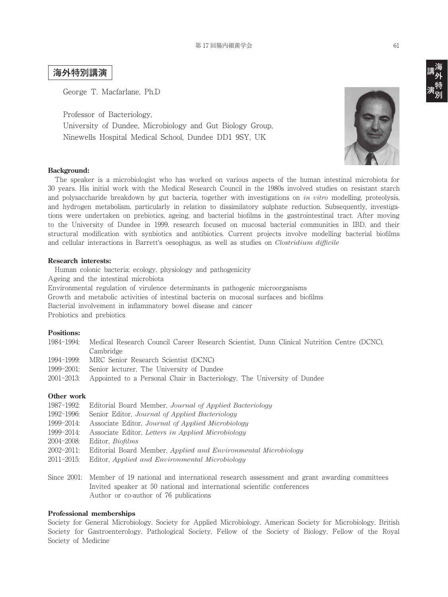# **海外特別講演**

George T. Macfarlane, Ph.D

Professor of Bacteriology,

University of Dundee, Microbiology and Gut Biology Group, Ninewells Hospital Medical School, Dundee DD1 9SY, UK



# **Background:**

 The speaker is a microbiologist who has worked on various aspects of the human intestinal microbiota for 30 years. His initial work with the Medical Research Council in the 1980s involved studies on resistant starch and polysaccharide breakdown by gut bacteria, together with investigations on *in vitro* modelling, proteolysis, and hydrogen metabolism, particularly in relation to dissimilatory sulphate reduction. Subsequently, investigations were undertaken on prebiotics, ageing, and bacterial biofilms in the gastrointestinal tract. After moving to the University of Dundee in 1999, research focused on mucosal bacterial communities in IBD, and their structural modification with synbiotics and antibiotics. Current projects involve modelling bacterial biofilms and cellular interactions in Barrett's oesophagus, as well as studies on *Clostridium difficile*

## **Research interests:**

 Human colonic bacteria: ecology, physiology and pathogenicity Ageing and the intestinal microbiota Environmental regulation of virulence determinants in pathogenic microorganisms Growth and metabolic activities of intestinal bacteria on mucosal surfaces and biofilms Bacterial involvement in inflammatory bowel disease and cancer Probiotics and prebiotics

## **Positions:**

- 1984-1994: Medical Research Council Career Research Scientist, Dunn Clinical Nutrition Centre (DCNC), Cambridge
- 1994-1999: MRC Senior Research Scientist (DCNC)
- 1999-2001: Senior lecturer, The University of Dundee
- 2001-2013: Appointed to a Personal Chair in Bacteriology, The University of Dundee

# **Other work**

- 1987-1992: Editorial Board Member, *Journal of Applied Bacteriology* 1992-1996: Senior Editor, *Journal of Applied Bacteriology* 1999-2014: Associate Editor, *Journal of Applied Microbiology* 1999-2014: Associate Editor, *Letters in Applied Microbiology* 2004-2008: Editor, *Biofilms* 2002-2011: Editorial Board Member, *Applied and Environmental Microbiology* 2011-2015: Editor, *Applied and Environmental Microbiology*
- Since 2001: Member of 19 national and international research assessment and grant awarding committees Invited speaker at 50 national and international scientific conferences Author or co-author of 76 publications

## **Professional memberships**

Society for General Microbiology, Society for Applied Microbiology, American Society for Microbiology, British Society for Gastroenterology, Pathological Society, Fellow of the Society of Biology, Fellow of the Royal Society of Medicine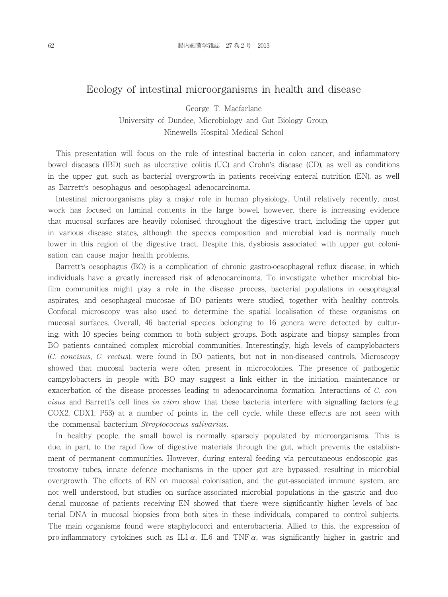# Ecology of intestinal microorganisms in health and disease

George T. Macfarlane University of Dundee, Microbiology and Gut Biology Group, Ninewells Hospital Medical School

This presentation will focus on the role of intestinal bacteria in colon cancer, and inflammatory bowel diseases (IBD) such as ulcerative colitis (UC) and Crohn's disease (CD), as well as conditions in the upper gut, such as bacterial overgrowth in patients receiving enteral nutrition (EN), as well as Barrett's oesophagus and oesophageal adenocarcinoma.

Intestinal microorganisms play a major role in human physiology. Until relatively recently, most work has focused on luminal contents in the large bowel, however, there is increasing evidence that mucosal surfaces are heavily colonised throughout the digestive tract, including the upper gut in various disease states, although the species composition and microbial load is normally much lower in this region of the digestive tract. Despite this, dysbiosis associated with upper gut colonisation can cause major health problems.

Barrett's oesophagus (BO) is a complication of chronic gastro-oesophageal reflux disease, in which individuals have a greatly increased risk of adenocarcinoma. To investigate whether microbial biofilm communities might play a role in the disease process, bacterial populations in oesophageal aspirates, and oesophageal mucosae of BO patients were studied, together with healthy controls. Confocal microscopy was also used to determine the spatial localisation of these organisms on mucosal surfaces. Overall, 46 bacterial species belonging to 16 genera were detected by culturing, with 10 species being common to both subject groups. Both aspirate and biopsy samples from BO patients contained complex microbial communities. Interestingly, high levels of campylobacters (*C. concisus*, *C. rectus*), were found in BO patients, but not in non-diseased controls. Microscopy showed that mucosal bacteria were often present in microcolonies. The presence of pathogenic campylobacters in people with BO may suggest a link either in the initiation, maintenance or exacerbation of the disease processes leading to adenocarcinoma formation. Interactions of *C. concisus* and Barrett's cell lines *in vitro* show that these bacteria interfere with signalling factors (e.g. COX2, CDX1, P53) at a number of points in the cell cycle, while these effects are not seen with the commensal bacterium *Streptococcus salivarius*.

In healthy people, the small bowel is normally sparsely populated by microorganisms. This is due, in part, to the rapid flow of digestive materials through the gut, which prevents the establishment of permanent communities. However, during enteral feeding via percutaneous endoscopic gastrostomy tubes, innate defence mechanisms in the upper gut are bypassed, resulting in microbial overgrowth. The effects of EN on mucosal colonisation, and the gut-associated immune system, are not well understood, but studies on surface-associated microbial populations in the gastric and duodenal mucosae of patients receiving EN showed that there were significantly higher levels of bacterial DNA in mucosal biopsies from both sites in these individuals, compared to control subjects. The main organisms found were staphylococci and enterobacteria. Allied to this, the expression of pro-inflammatory cytokines such as IL1- $\alpha$ , IL6 and TNF- $\alpha$ , was significantly higher in gastric and